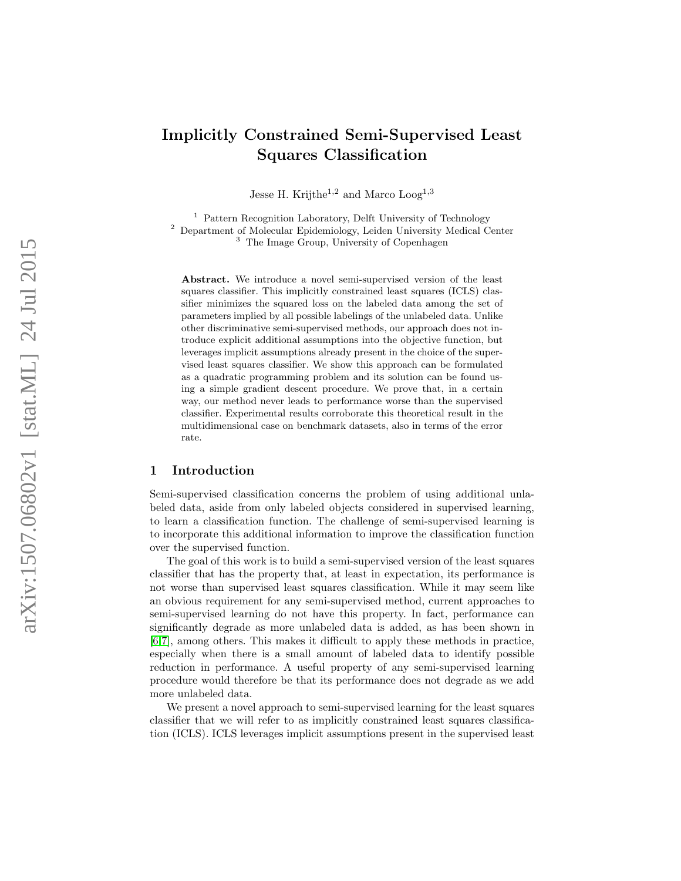# Implicitly Constrained Semi-Supervised Least Squares Classification

Jesse H. Krijthe<sup>1,2</sup> and Marco  $\text{Log}^{1,3}$ 

<sup>1</sup> Pattern Recognition Laboratory, Delft University of Technology <sup>2</sup> Department of Molecular Epidemiology, Leiden University Medical Center <sup>3</sup> The Image Group, University of Copenhagen

Abstract. We introduce a novel semi-supervised version of the least squares classifier. This implicitly constrained least squares (ICLS) classifier minimizes the squared loss on the labeled data among the set of parameters implied by all possible labelings of the unlabeled data. Unlike other discriminative semi-supervised methods, our approach does not introduce explicit additional assumptions into the objective function, but leverages implicit assumptions already present in the choice of the supervised least squares classifier. We show this approach can be formulated as a quadratic programming problem and its solution can be found using a simple gradient descent procedure. We prove that, in a certain way, our method never leads to performance worse than the supervised classifier. Experimental results corroborate this theoretical result in the multidimensional case on benchmark datasets, also in terms of the error rate.

# 1 Introduction

Semi-supervised classification concerns the problem of using additional unlabeled data, aside from only labeled objects considered in supervised learning, to learn a classification function. The challenge of semi-supervised learning is to incorporate this additional information to improve the classification function over the supervised function.

The goal of this work is to build a semi-supervised version of the least squares classifier that has the property that, at least in expectation, its performance is not worse than supervised least squares classification. While it may seem like an obvious requirement for any semi-supervised method, current approaches to semi-supervised learning do not have this property. In fact, performance can significantly degrade as more unlabeled data is added, as has been shown in [\[6,](#page-11-0)[7\]](#page-11-1), among others. This makes it difficult to apply these methods in practice, especially when there is a small amount of labeled data to identify possible reduction in performance. A useful property of any semi-supervised learning procedure would therefore be that its performance does not degrade as we add more unlabeled data.

We present a novel approach to semi-supervised learning for the least squares classifier that we will refer to as implicitly constrained least squares classification (ICLS). ICLS leverages implicit assumptions present in the supervised least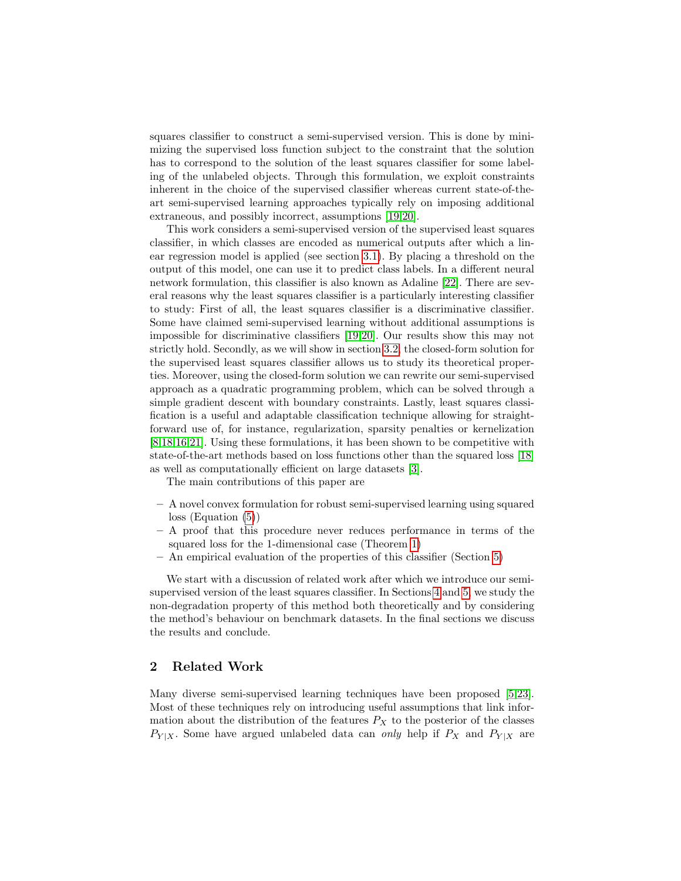squares classifier to construct a semi-supervised version. This is done by minimizing the supervised loss function subject to the constraint that the solution has to correspond to the solution of the least squares classifier for some labeling of the unlabeled objects. Through this formulation, we exploit constraints inherent in the choice of the supervised classifier whereas current state-of-theart semi-supervised learning approaches typically rely on imposing additional extraneous, and possibly incorrect, assumptions [\[19,](#page-11-2)[20\]](#page-11-3).

This work considers a semi-supervised version of the supervised least squares classifier, in which classes are encoded as numerical outputs after which a linear regression model is applied (see section [3.1\)](#page-2-0). By placing a threshold on the output of this model, one can use it to predict class labels. In a different neural network formulation, this classifier is also known as Adaline [\[22\]](#page-11-4). There are several reasons why the least squares classifier is a particularly interesting classifier to study: First of all, the least squares classifier is a discriminative classifier. Some have claimed semi-supervised learning without additional assumptions is impossible for discriminative classifiers [\[19](#page-11-2)[,20\]](#page-11-3). Our results show this may not strictly hold. Secondly, as we will show in section [3.2,](#page-3-0) the closed-form solution for the supervised least squares classifier allows us to study its theoretical properties. Moreover, using the closed-form solution we can rewrite our semi-supervised approach as a quadratic programming problem, which can be solved through a simple gradient descent with boundary constraints. Lastly, least squares classification is a useful and adaptable classification technique allowing for straightforward use of, for instance, regularization, sparsity penalties or kernelization [\[8,](#page-11-5)[18](#page-11-6)[,16,](#page-11-7)[21\]](#page-11-8). Using these formulations, it has been shown to be competitive with state-of-the-art methods based on loss functions other than the squared loss [\[18\]](#page-11-6) as well as computationally efficient on large datasets [\[3\]](#page-10-0).

The main contributions of this paper are

- A novel convex formulation for robust semi-supervised learning using squared loss (Equation [\(5\)](#page-3-1))
- A proof that this procedure never reduces performance in terms of the squared loss for the 1-dimensional case (Theorem [1\)](#page-4-0)
- An empirical evaluation of the properties of this classifier (Section [5\)](#page-6-0)

We start with a discussion of related work after which we introduce our semisupervised version of the least squares classifier. In Sections [4](#page-4-1) and [5,](#page-6-0) we study the non-degradation property of this method both theoretically and by considering the method's behaviour on benchmark datasets. In the final sections we discuss the results and conclude.

# 2 Related Work

Many diverse semi-supervised learning techniques have been proposed [\[5,](#page-11-9)[23\]](#page-11-10). Most of these techniques rely on introducing useful assumptions that link information about the distribution of the features  $P_X$  to the posterior of the classes  $P_{Y|X}$ . Some have argued unlabeled data can only help if  $P_X$  and  $P_{Y|X}$  are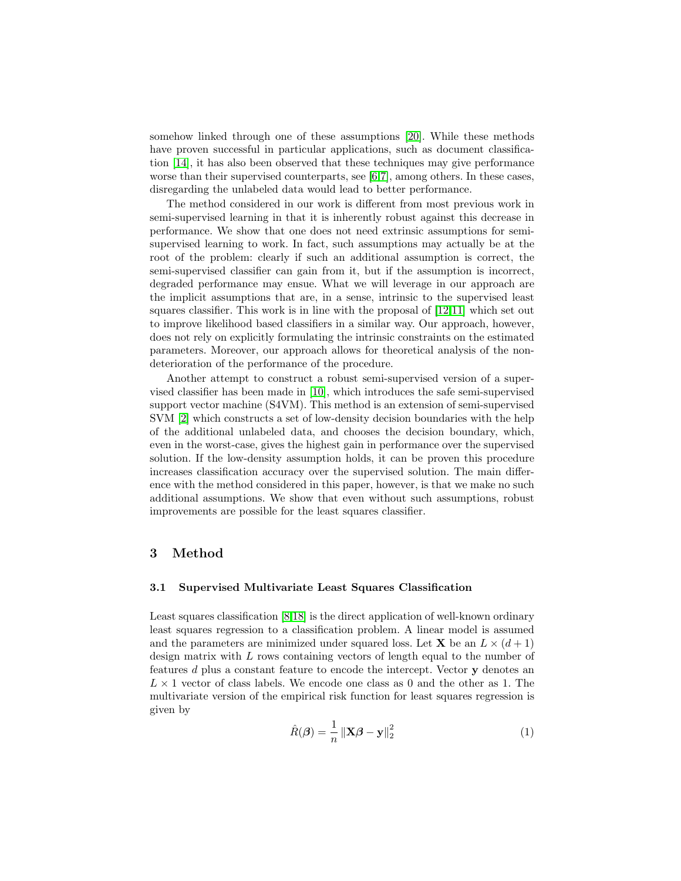somehow linked through one of these assumptions [\[20\]](#page-11-3). While these methods have proven successful in particular applications, such as document classification [\[14\]](#page-11-11), it has also been observed that these techniques may give performance worse than their supervised counterparts, see [\[6](#page-11-0)[,7\]](#page-11-1), among others. In these cases, disregarding the unlabeled data would lead to better performance.

The method considered in our work is different from most previous work in semi-supervised learning in that it is inherently robust against this decrease in performance. We show that one does not need extrinsic assumptions for semisupervised learning to work. In fact, such assumptions may actually be at the root of the problem: clearly if such an additional assumption is correct, the semi-supervised classifier can gain from it, but if the assumption is incorrect, degraded performance may ensue. What we will leverage in our approach are the implicit assumptions that are, in a sense, intrinsic to the supervised least squares classifier. This work is in line with the proposal of [\[12,](#page-11-12)[11\]](#page-11-13) which set out to improve likelihood based classifiers in a similar way. Our approach, however, does not rely on explicitly formulating the intrinsic constraints on the estimated parameters. Moreover, our approach allows for theoretical analysis of the nondeterioration of the performance of the procedure.

Another attempt to construct a robust semi-supervised version of a supervised classifier has been made in [\[10\]](#page-11-14), which introduces the safe semi-supervised support vector machine (S4VM). This method is an extension of semi-supervised SVM [\[2\]](#page-10-1) which constructs a set of low-density decision boundaries with the help of the additional unlabeled data, and chooses the decision boundary, which, even in the worst-case, gives the highest gain in performance over the supervised solution. If the low-density assumption holds, it can be proven this procedure increases classification accuracy over the supervised solution. The main difference with the method considered in this paper, however, is that we make no such additional assumptions. We show that even without such assumptions, robust improvements are possible for the least squares classifier.

## 3 Method

#### <span id="page-2-0"></span>3.1 Supervised Multivariate Least Squares Classification

Least squares classification [\[8](#page-11-5)[,18\]](#page-11-6) is the direct application of well-known ordinary least squares regression to a classification problem. A linear model is assumed and the parameters are minimized under squared loss. Let **X** be an  $L \times (d+1)$ design matrix with L rows containing vectors of length equal to the number of features d plus a constant feature to encode the intercept. Vector y denotes an  $L \times 1$  vector of class labels. We encode one class as 0 and the other as 1. The multivariate version of the empirical risk function for least squares regression is given by

<span id="page-2-1"></span>
$$
\hat{R}(\boldsymbol{\beta}) = \frac{1}{n} \left\| \mathbf{X}\boldsymbol{\beta} - \mathbf{y} \right\|_2^2 \tag{1}
$$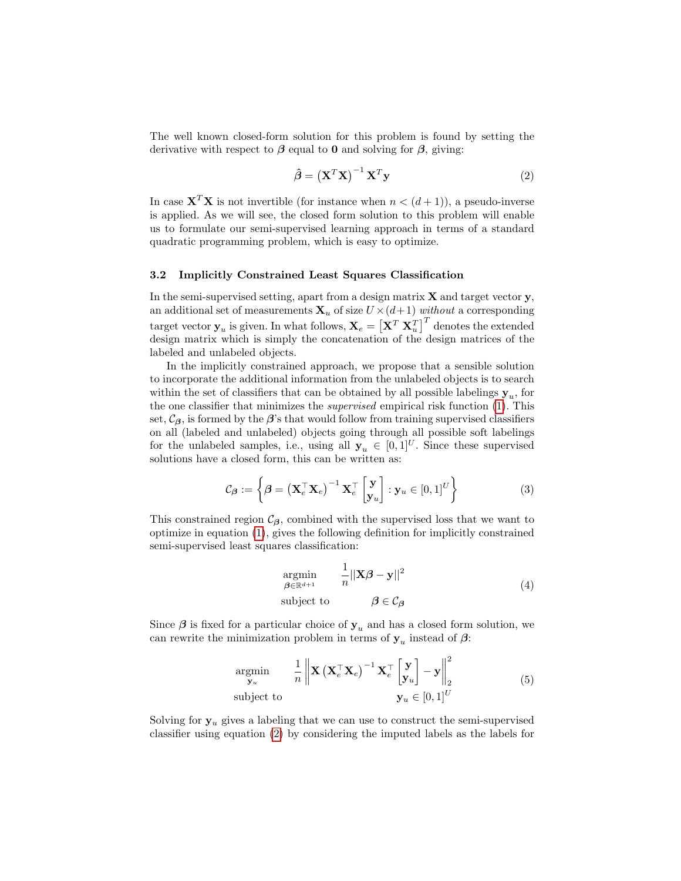The well known closed-form solution for this problem is found by setting the derivative with respect to  $\beta$  equal to 0 and solving for  $\beta$ , giving:

<span id="page-3-2"></span>
$$
\hat{\boldsymbol{\beta}} = \left(\mathbf{X}^T \mathbf{X}\right)^{-1} \mathbf{X}^T \mathbf{y} \tag{2}
$$

In case  $X^T X$  is not invertible (for instance when  $n < (d+1)$ ), a pseudo-inverse is applied. As we will see, the closed form solution to this problem will enable us to formulate our semi-supervised learning approach in terms of a standard quadratic programming problem, which is easy to optimize.

#### <span id="page-3-0"></span>3.2 Implicitly Constrained Least Squares Classification

In the semi-supervised setting, apart from a design matrix  $\bf{X}$  and target vector  $\bf{y}$ , an additional set of measurements  $\mathbf{X}_u$  of size  $U \times (d+1)$  without a corresponding target vector  $\mathbf{y}_u$  is given. In what follows,  $\mathbf{X}_e = \left[\mathbf{X}^T \; \mathbf{X}_u^T\right]^T$  denotes the extended design matrix which is simply the concatenation of the design matrices of the labeled and unlabeled objects.

In the implicitly constrained approach, we propose that a sensible solution to incorporate the additional information from the unlabeled objects is to search within the set of classifiers that can be obtained by all possible labelings  $y_u$ , for the one classifier that minimizes the supervised empirical risk function [\(1\)](#page-2-1). This set,  $\mathcal{C}_{\beta}$ , is formed by the  $\beta$ 's that would follow from training supervised classifiers on all (labeled and unlabeled) objects going through all possible soft labelings for the unlabeled samples, i.e., using all  $y_u \in [0,1]^U$ . Since these supervised solutions have a closed form, this can be written as:

$$
\mathcal{C}_{\beta} := \left\{ \beta = \left( \mathbf{X}_{e}^{\top} \mathbf{X}_{e} \right)^{-1} \mathbf{X}_{e}^{\top} \begin{bmatrix} \mathbf{y} \\ \mathbf{y}_{u} \end{bmatrix} : \mathbf{y}_{u} \in [0, 1]^{U} \right\}
$$
(3)

This constrained region  $\mathcal{C}_{\beta}$ , combined with the supervised loss that we want to optimize in equation [\(1\)](#page-2-1), gives the following definition for implicitly constrained semi-supervised least squares classification:

$$
\underset{\beta \in \mathbb{R}^{d+1}}{\text{argmin}} \quad \frac{1}{n} ||\mathbf{X}\beta - \mathbf{y}||^2
$$
\n
$$
\text{subject to} \quad \beta \in \mathcal{C}_{\beta}
$$
\n
$$
(4)
$$

Since  $\beta$  is fixed for a particular choice of  $y_u$  and has a closed form solution, we can rewrite the minimization problem in terms of  $y_u$  instead of  $\beta$ :

<span id="page-3-1"></span>
$$
\underset{\mathbf{y}_{u}}{\text{argmin}} \qquad \frac{1}{n} \left\| \mathbf{X} \left( \mathbf{X}_{e}^{\top} \mathbf{X}_{e} \right)^{-1} \mathbf{X}_{e}^{\top} \begin{bmatrix} \mathbf{y} \\ \mathbf{y}_{u} \end{bmatrix} - \mathbf{y} \right\|_{2}^{2}
$$
\n
$$
\text{subject to} \qquad \qquad \mathbf{y}_{u} \in [0, 1]^{U}
$$
\n
$$
(5)
$$

Solving for  $y_u$  gives a labeling that we can use to construct the semi-supervised classifier using equation [\(2\)](#page-3-2) by considering the imputed labels as the labels for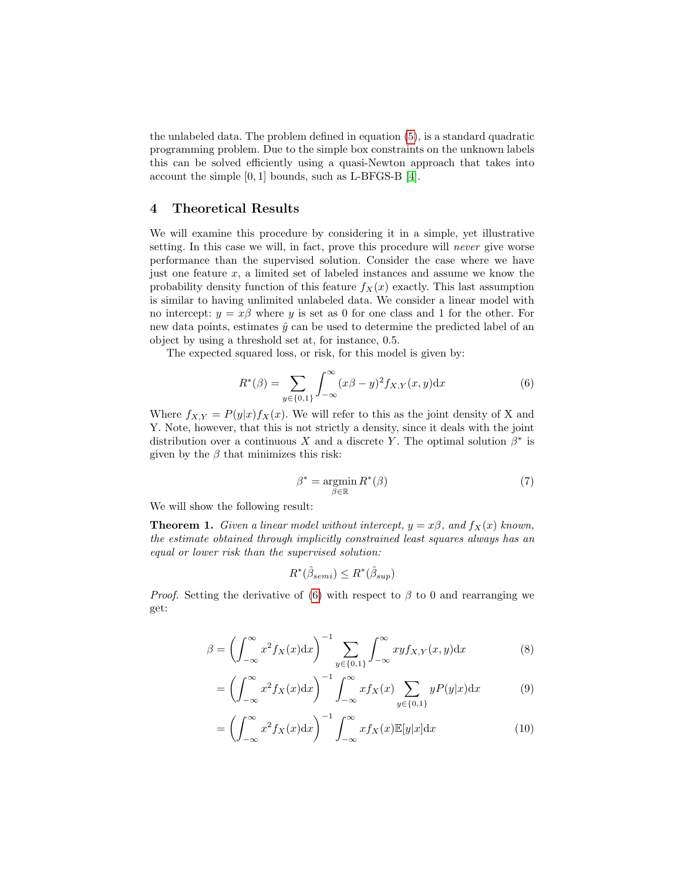the unlabeled data. The problem defined in equation [\(5\)](#page-3-1), is a standard quadratic programming problem. Due to the simple box constraints on the unknown labels this can be solved efficiently using a quasi-Newton approach that takes into account the simple  $[0, 1]$  bounds, such as L-BFGS-B  $[4]$ .

# <span id="page-4-1"></span>4 Theoretical Results

We will examine this procedure by considering it in a simple, yet illustrative setting. In this case we will, in fact, prove this procedure will *never* give worse performance than the supervised solution. Consider the case where we have just one feature  $x$ , a limited set of labeled instances and assume we know the probability density function of this feature  $f_X(x)$  exactly. This last assumption is similar to having unlimited unlabeled data. We consider a linear model with no intercept:  $y = x\beta$  where y is set as 0 for one class and 1 for the other. For new data points, estimates  $\hat{y}$  can be used to determine the predicted label of an object by using a threshold set at, for instance, 0.5.

The expected squared loss, or risk, for this model is given by:

<span id="page-4-2"></span>
$$
R^*(\beta) = \sum_{y \in \{0,1\}} \int_{-\infty}^{\infty} (x\beta - y)^2 f_{X,Y}(x, y) dx
$$
 (6)

Where  $f_{X,Y} = P(y|x) f_X(x)$ . We will refer to this as the joint density of X and Y. Note, however, that this is not strictly a density, since it deals with the joint distribution over a continuous X and a discrete Y. The optimal solution  $\beta^*$  is given by the  $\beta$  that minimizes this risk:

<span id="page-4-0"></span>
$$
\beta^* = \operatorname*{argmin}_{\beta \in \mathbb{R}} R^*(\beta) \tag{7}
$$

We will show the following result:

**Theorem 1.** Given a linear model without intercept,  $y = x\beta$ , and  $f_X(x)$  known, the estimate obtained through implicitly constrained least squares always has an equal or lower risk than the supervised solution:

$$
R^*(\hat{\beta}_{semi}) \le R^*(\hat{\beta}_{sup})
$$

*Proof.* Setting the derivative of [\(6\)](#page-4-2) with respect to  $\beta$  to 0 and rearranging we get:

<span id="page-4-3"></span>
$$
\beta = \left(\int_{-\infty}^{\infty} x^2 f_X(x) dx\right)^{-1} \sum_{y \in \{0,1\}} \int_{-\infty}^{\infty} xy f_{X,Y}(x, y) dx \tag{8}
$$

$$
= \left(\int_{-\infty}^{\infty} x^2 f_X(x) dx\right)^{-1} \int_{-\infty}^{\infty} x f_X(x) \sum_{y \in \{0,1\}} y P(y|x) dx \tag{9}
$$

$$
= \left(\int_{-\infty}^{\infty} x^2 f_X(x) dx\right)^{-1} \int_{-\infty}^{\infty} x f_X(x) \mathbb{E}[y|x] dx \tag{10}
$$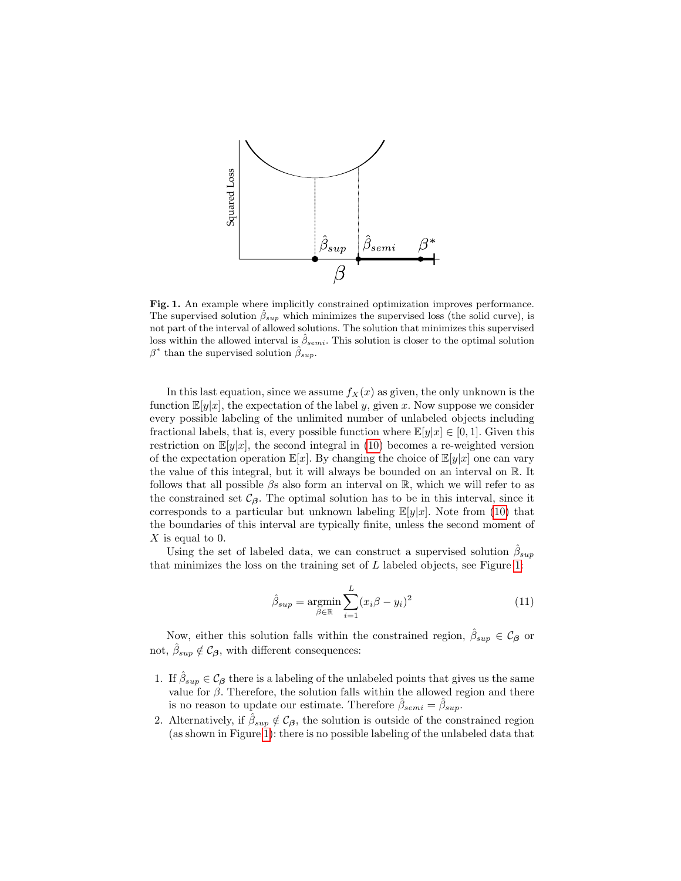

<span id="page-5-0"></span>Fig. 1. An example where implicitly constrained optimization improves performance. The supervised solution  $\hat{\beta}_{sup}$  which minimizes the supervised loss (the solid curve), is not part of the interval of allowed solutions. The solution that minimizes this supervised loss within the allowed interval is  $\beta_{semi}$ . This solution is closer to the optimal solution  $\beta^*$  than the supervised solution  $\hat{\beta}_{sup}$ .

In this last equation, since we assume  $f_X(x)$  as given, the only unknown is the function  $\mathbb{E}[y|x]$ , the expectation of the label y, given x. Now suppose we consider every possible labeling of the unlimited number of unlabeled objects including fractional labels, that is, every possible function where  $\mathbb{E}[y|x] \in [0,1]$ . Given this restriction on  $\mathbb{E}[y|x]$ , the second integral in [\(10\)](#page-4-3) becomes a re-weighted version of the expectation operation  $\mathbb{E}[x]$ . By changing the choice of  $\mathbb{E}[y|x]$  one can vary the value of this integral, but it will always be bounded on an interval on R. It follows that all possible  $\beta$ s also form an interval on R, which we will refer to as the constrained set  $\mathcal{C}_{\beta}$ . The optimal solution has to be in this interval, since it corresponds to a particular but unknown labeling  $\mathbb{E}[y|x]$ . Note from [\(10\)](#page-4-3) that the boundaries of this interval are typically finite, unless the second moment of  $X$  is equal to 0.

Using the set of labeled data, we can construct a supervised solution  $\hat{\beta}_{sup}$ that minimizes the loss on the training set of  $L$  labeled objects, see Figure [1:](#page-5-0)

$$
\hat{\beta}_{sup} = \underset{\beta \in \mathbb{R}}{\operatorname{argmin}} \sum_{i=1}^{L} (x_i \beta - y_i)^2
$$
\n(11)

Now, either this solution falls within the constrained region,  $\hat{\beta}_{sup} \in \mathcal{C}_{\beta}$  or not,  $\hat{\beta}_{sup} \notin \mathcal{C}_{\beta}$ , with different consequences:

- 1. If  $\hat{\beta}_{sup} \in \mathcal{C}_{\beta}$  there is a labeling of the unlabeled points that gives us the same value for  $\beta$ . Therefore, the solution falls within the allowed region and there is no reason to update our estimate. Therefore  $\hat{\beta}_{semi} = \hat{\beta}_{sup}$ .
- 2. Alternatively, if  $\hat{\beta}_{sup} \notin \mathcal{C}_{\beta}$ , the solution is outside of the constrained region (as shown in Figure [1\)](#page-5-0): there is no possible labeling of the unlabeled data that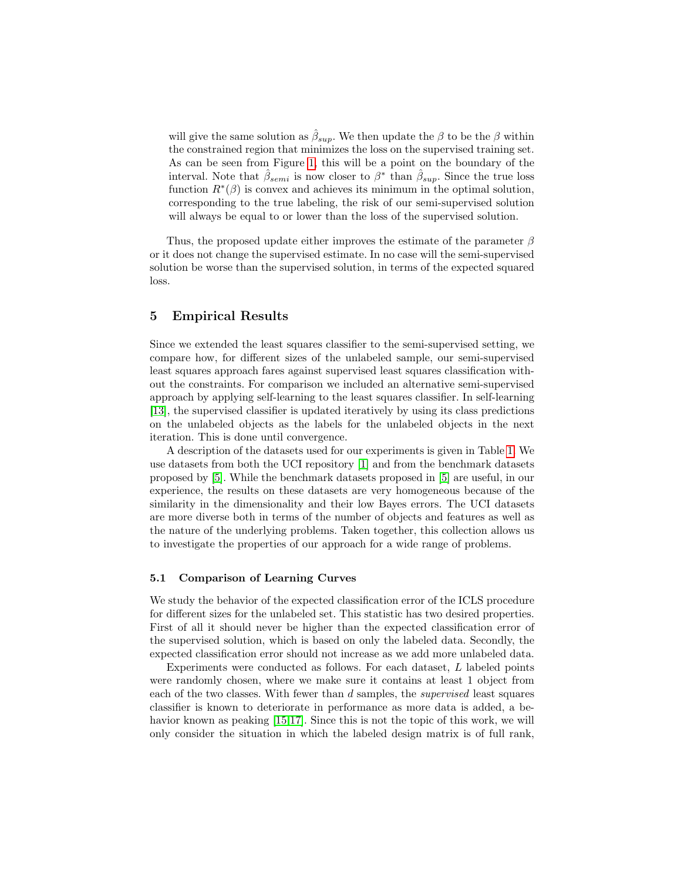will give the same solution as  $\hat{\beta}_{sup}$ . We then update the  $\beta$  to be the  $\beta$  within the constrained region that minimizes the loss on the supervised training set. As can be seen from Figure [1,](#page-5-0) this will be a point on the boundary of the interval. Note that  $\hat{\beta}_{semi}$  is now closer to  $\beta^*$  than  $\hat{\beta}_{sup}$ . Since the true loss function  $R^*(\beta)$  is convex and achieves its minimum in the optimal solution, corresponding to the true labeling, the risk of our semi-supervised solution will always be equal to or lower than the loss of the supervised solution.

Thus, the proposed update either improves the estimate of the parameter  $\beta$ or it does not change the supervised estimate. In no case will the semi-supervised solution be worse than the supervised solution, in terms of the expected squared loss.

## <span id="page-6-0"></span>5 Empirical Results

Since we extended the least squares classifier to the semi-supervised setting, we compare how, for different sizes of the unlabeled sample, our semi-supervised least squares approach fares against supervised least squares classification without the constraints. For comparison we included an alternative semi-supervised approach by applying self-learning to the least squares classifier. In self-learning [\[13\]](#page-11-15), the supervised classifier is updated iteratively by using its class predictions on the unlabeled objects as the labels for the unlabeled objects in the next iteration. This is done until convergence.

A description of the datasets used for our experiments is given in Table [1.](#page-7-0) We use datasets from both the UCI repository [\[1\]](#page-10-3) and from the benchmark datasets proposed by [\[5\]](#page-11-9). While the benchmark datasets proposed in [\[5\]](#page-11-9) are useful, in our experience, the results on these datasets are very homogeneous because of the similarity in the dimensionality and their low Bayes errors. The UCI datasets are more diverse both in terms of the number of objects and features as well as the nature of the underlying problems. Taken together, this collection allows us to investigate the properties of our approach for a wide range of problems.

#### 5.1 Comparison of Learning Curves

We study the behavior of the expected classification error of the ICLS procedure for different sizes for the unlabeled set. This statistic has two desired properties. First of all it should never be higher than the expected classification error of the supervised solution, which is based on only the labeled data. Secondly, the expected classification error should not increase as we add more unlabeled data.

Experiments were conducted as follows. For each dataset, L labeled points were randomly chosen, where we make sure it contains at least 1 object from each of the two classes. With fewer than d samples, the supervised least squares classifier is known to deteriorate in performance as more data is added, a be-havior known as peaking [\[15,](#page-11-16)[17\]](#page-11-17). Since this is not the topic of this work, we will only consider the situation in which the labeled design matrix is of full rank,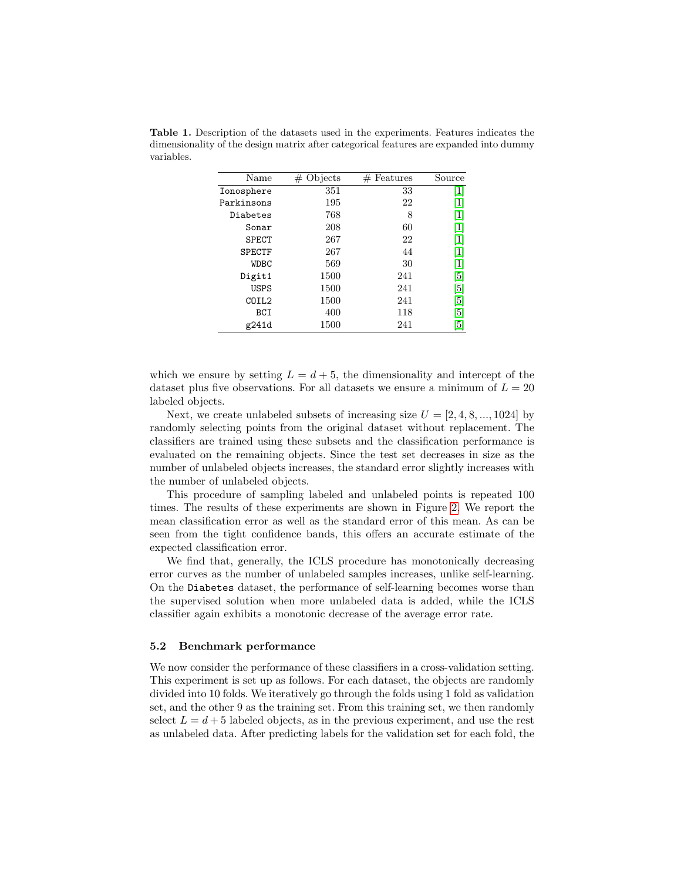| Name          | # Objects | Features<br># | Source            |
|---------------|-----------|---------------|-------------------|
| Ionosphere    | 351       | 33            | $\lceil 1 \rceil$ |
| Parkinsons    | 195       | 22            | 1                 |
| Diabetes      | 768       | 8             | 1                 |
| Sonar         | 208       | 60            | 1                 |
| <b>SPECT</b>  | 267       | 22            | 1                 |
| <b>SPECTF</b> | 267       | 44            | 1                 |
| <b>WDBC</b>   | 569       | 30            | 1                 |
| Digit1        | 1500      | 241           | [5]               |
| <b>USPS</b>   | 1500      | 241           | 5                 |
| COIL2         | 1500      | 241           | [5]               |
| <b>BCI</b>    | 400       | 118           | 5                 |
| g241d         | 1500      | 241           | 5                 |

<span id="page-7-0"></span>Table 1. Description of the datasets used in the experiments. Features indicates the dimensionality of the design matrix after categorical features are expanded into dummy variables.

which we ensure by setting  $L = d + 5$ , the dimensionality and intercept of the dataset plus five observations. For all datasets we ensure a minimum of  $L = 20$ labeled objects.

Next, we create unlabeled subsets of increasing size  $U = [2, 4, 8, ..., 1024]$  by randomly selecting points from the original dataset without replacement. The classifiers are trained using these subsets and the classification performance is evaluated on the remaining objects. Since the test set decreases in size as the number of unlabeled objects increases, the standard error slightly increases with the number of unlabeled objects.

This procedure of sampling labeled and unlabeled points is repeated 100 times. The results of these experiments are shown in Figure [2.](#page-8-0) We report the mean classification error as well as the standard error of this mean. As can be seen from the tight confidence bands, this offers an accurate estimate of the expected classification error.

We find that, generally, the ICLS procedure has monotonically decreasing error curves as the number of unlabeled samples increases, unlike self-learning. On the Diabetes dataset, the performance of self-learning becomes worse than the supervised solution when more unlabeled data is added, while the ICLS classifier again exhibits a monotonic decrease of the average error rate.

### 5.2 Benchmark performance

We now consider the performance of these classifiers in a cross-validation setting. This experiment is set up as follows. For each dataset, the objects are randomly divided into 10 folds. We iteratively go through the folds using 1 fold as validation set, and the other 9 as the training set. From this training set, we then randomly select  $L = d + 5$  labeled objects, as in the previous experiment, and use the rest as unlabeled data. After predicting labels for the validation set for each fold, the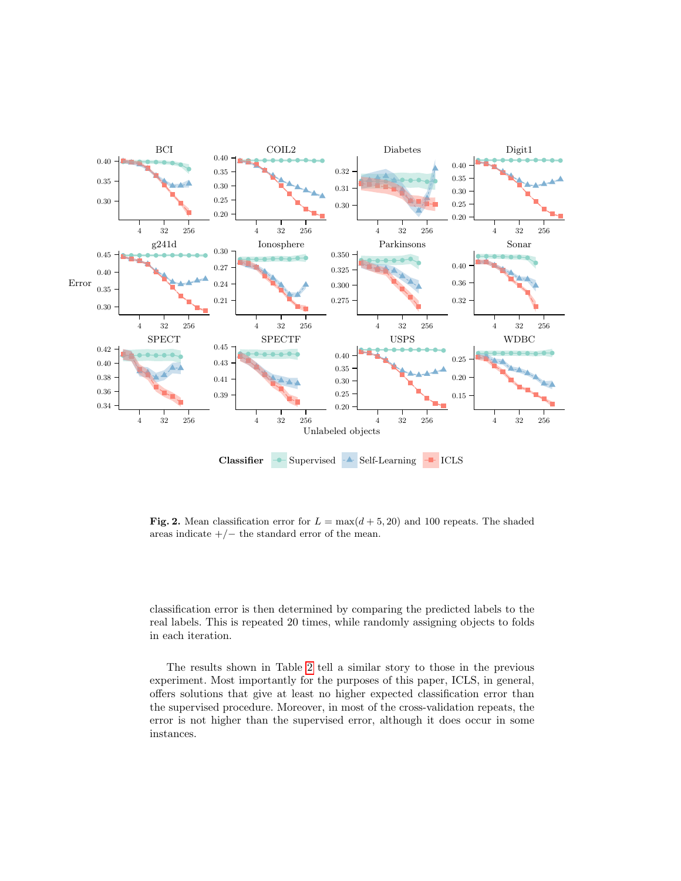

<span id="page-8-0"></span>Fig. 2. Mean classification error for  $L = \max(d + 5, 20)$  and 100 repeats. The shaded areas indicate  $+/-$  the standard error of the mean.

classification error is then determined by comparing the predicted labels to the real labels. This is repeated 20 times, while randomly assigning objects to folds in each iteration.

The results shown in Table [2](#page-9-0) tell a similar story to those in the previous experiment. Most importantly for the purposes of this paper, ICLS, in general, offers solutions that give at least no higher expected classification error than the supervised procedure. Moreover, in most of the cross-validation repeats, the error is not higher than the supervised error, although it does occur in some instances.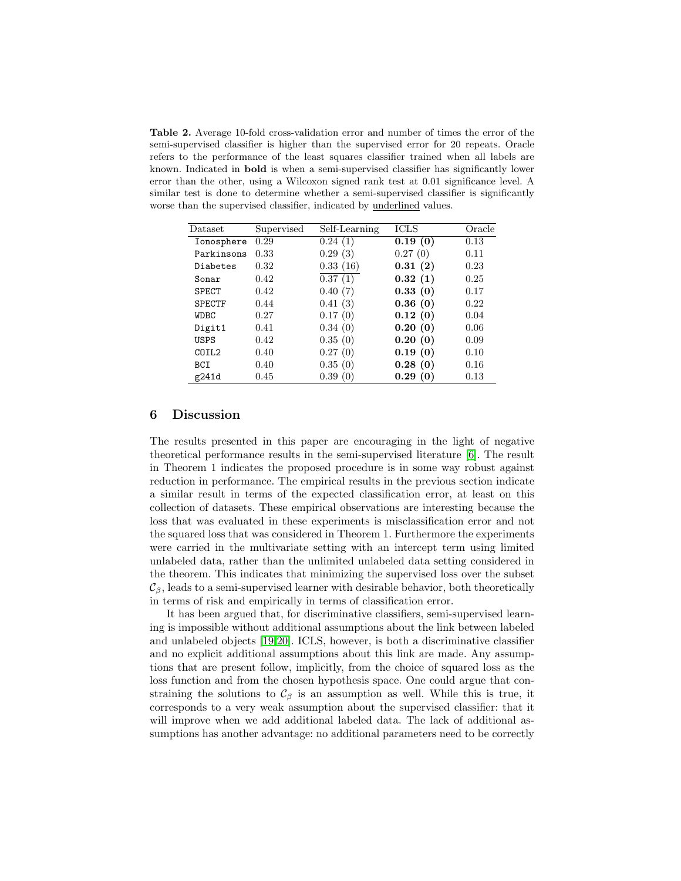<span id="page-9-0"></span>Table 2. Average 10-fold cross-validation error and number of times the error of the semi-supervised classifier is higher than the supervised error for 20 repeats. Oracle refers to the performance of the least squares classifier trained when all labels are known. Indicated in bold is when a semi-supervised classifier has significantly lower error than the other, using a Wilcoxon signed rank test at 0.01 significance level. A similar test is done to determine whether a semi-supervised classifier is significantly worse than the supervised classifier, indicated by underlined values.

| Dataset           | Supervised | Self-Learning | ICLS    | Oracle |
|-------------------|------------|---------------|---------|--------|
| Ionosphere        | 0.29       | 0.24(1)       | 0.19(0) | 0.13   |
| Parkinsons        | 0.33       | 0.29(3)       | 0.27(0) | 0.11   |
| Diabetes          | 0.32       | 0.33(16)      | 0.31(2) | 0.23   |
| Sonar             | 0.42       | 0.37(1)       | 0.32(1) | 0.25   |
| <b>SPECT</b>      | 0.42       | 0.40(7)       | 0.33(0) | 0.17   |
| <b>SPECTF</b>     | 0.44       | 0.41(3)       | 0.36(0) | 0.22   |
| <b>WDBC</b>       | 0.27       | 0.17(0)       | 0.12(0) | 0.04   |
| Digit1            | 0.41       | 0.34(0)       | 0.20(0) | 0.06   |
| <b>USPS</b>       | 0.42       | 0.35(0)       | 0.20(0) | 0.09   |
| COIL <sub>2</sub> | 0.40       | 0.27(0)       | 0.19(0) | 0.10   |
| BCI               | 0.40       | 0.35(0)       | 0.28(0) | 0.16   |
| g241d             | 0.45       | 0.39(0)       | 0.29(0) | 0.13   |

# 6 Discussion

The results presented in this paper are encouraging in the light of negative theoretical performance results in the semi-supervised literature [\[6\]](#page-11-0). The result in Theorem 1 indicates the proposed procedure is in some way robust against reduction in performance. The empirical results in the previous section indicate a similar result in terms of the expected classification error, at least on this collection of datasets. These empirical observations are interesting because the loss that was evaluated in these experiments is misclassification error and not the squared loss that was considered in Theorem 1. Furthermore the experiments were carried in the multivariate setting with an intercept term using limited unlabeled data, rather than the unlimited unlabeled data setting considered in the theorem. This indicates that minimizing the supervised loss over the subset  $\mathcal{C}_{\beta}$ , leads to a semi-supervised learner with desirable behavior, both theoretically in terms of risk and empirically in terms of classification error.

It has been argued that, for discriminative classifiers, semi-supervised learning is impossible without additional assumptions about the link between labeled and unlabeled objects [\[19](#page-11-2)[,20\]](#page-11-3). ICLS, however, is both a discriminative classifier and no explicit additional assumptions about this link are made. Any assumptions that are present follow, implicitly, from the choice of squared loss as the loss function and from the chosen hypothesis space. One could argue that constraining the solutions to  $\mathcal{C}_{\beta}$  is an assumption as well. While this is true, it corresponds to a very weak assumption about the supervised classifier: that it will improve when we add additional labeled data. The lack of additional assumptions has another advantage: no additional parameters need to be correctly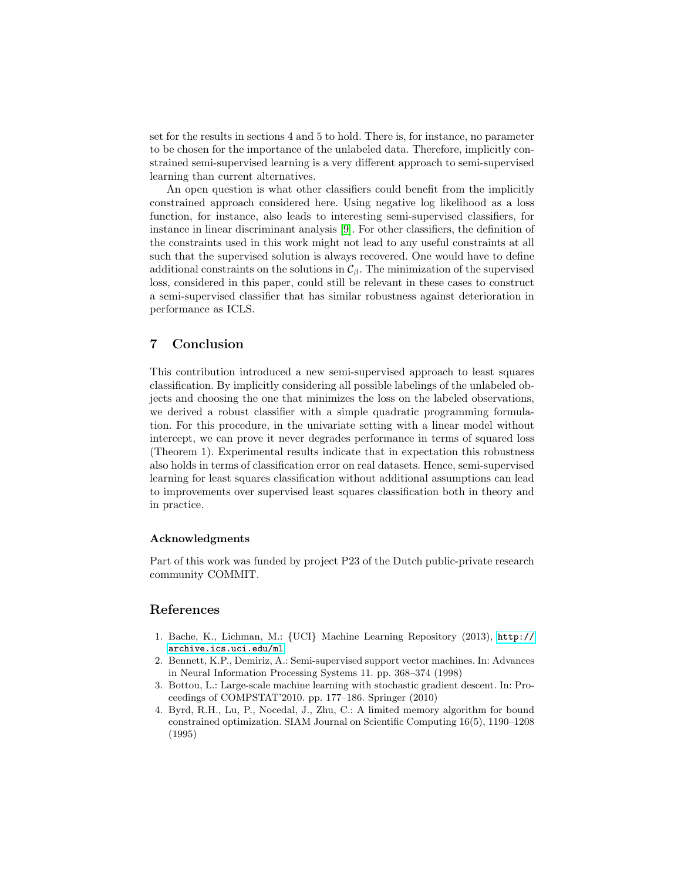set for the results in sections 4 and 5 to hold. There is, for instance, no parameter to be chosen for the importance of the unlabeled data. Therefore, implicitly constrained semi-supervised learning is a very different approach to semi-supervised learning than current alternatives.

An open question is what other classifiers could benefit from the implicitly constrained approach considered here. Using negative log likelihood as a loss function, for instance, also leads to interesting semi-supervised classifiers, for instance in linear discriminant analysis [\[9\]](#page-11-18). For other classifiers, the definition of the constraints used in this work might not lead to any useful constraints at all such that the supervised solution is always recovered. One would have to define additional constraints on the solutions in  $\mathcal{C}_{\beta}$ . The minimization of the supervised loss, considered in this paper, could still be relevant in these cases to construct a semi-supervised classifier that has similar robustness against deterioration in performance as ICLS.

## 7 Conclusion

This contribution introduced a new semi-supervised approach to least squares classification. By implicitly considering all possible labelings of the unlabeled objects and choosing the one that minimizes the loss on the labeled observations, we derived a robust classifier with a simple quadratic programming formulation. For this procedure, in the univariate setting with a linear model without intercept, we can prove it never degrades performance in terms of squared loss (Theorem 1). Experimental results indicate that in expectation this robustness also holds in terms of classification error on real datasets. Hence, semi-supervised learning for least squares classification without additional assumptions can lead to improvements over supervised least squares classification both in theory and in practice.

#### Acknowledgments

Part of this work was funded by project P23 of the Dutch public-private research community COMMIT.

## References

- <span id="page-10-3"></span>1. Bache, K., Lichman, M.: {UCI} Machine Learning Repository (2013), [http://](http://archive.ics.uci.edu/ml) [archive.ics.uci.edu/ml](http://archive.ics.uci.edu/ml)
- <span id="page-10-1"></span>2. Bennett, K.P., Demiriz, A.: Semi-supervised support vector machines. In: Advances in Neural Information Processing Systems 11. pp. 368–374 (1998)
- <span id="page-10-0"></span>3. Bottou, L.: Large-scale machine learning with stochastic gradient descent. In: Proceedings of COMPSTAT'2010. pp. 177–186. Springer (2010)
- <span id="page-10-2"></span>4. Byrd, R.H., Lu, P., Nocedal, J., Zhu, C.: A limited memory algorithm for bound constrained optimization. SIAM Journal on Scientific Computing 16(5), 1190–1208 (1995)